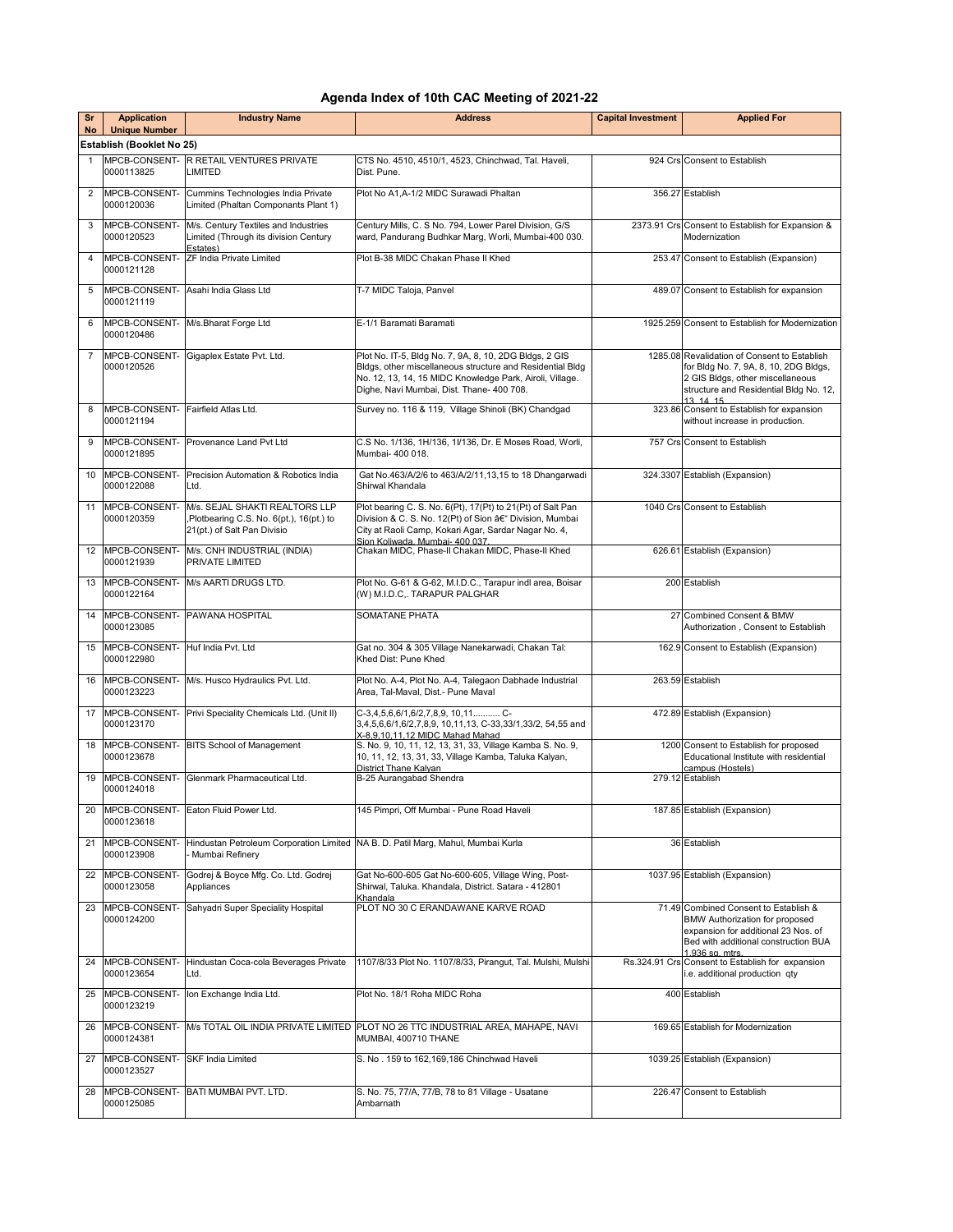## **Agenda Index of 10th CAC Meeting of 2021-22**

| Sr              | <b>Application</b>                                | <b>Industry Name</b>                                                                                      | <b>Address</b>                                                                                                                                                                                                               | <b>Capital Investment</b> | <b>Applied For</b>                                                                                                                                                              |
|-----------------|---------------------------------------------------|-----------------------------------------------------------------------------------------------------------|------------------------------------------------------------------------------------------------------------------------------------------------------------------------------------------------------------------------------|---------------------------|---------------------------------------------------------------------------------------------------------------------------------------------------------------------------------|
| <b>No</b>       | <b>Unique Number</b><br>Establish (Booklet No 25) |                                                                                                           |                                                                                                                                                                                                                              |                           |                                                                                                                                                                                 |
| $\mathbf{1}$    |                                                   | <b>MPCB-CONSENT- R RETAIL VENTURES PRIVATE</b>                                                            | CTS No. 4510, 4510/1, 4523, Chinchwad, Tal. Haveli,                                                                                                                                                                          |                           | 924 Crs Consent to Establish                                                                                                                                                    |
|                 | 0000113825                                        | <b>LIMITED</b>                                                                                            | Dist. Pune.                                                                                                                                                                                                                  |                           |                                                                                                                                                                                 |
| 2               | MPCB-CONSENT-<br>0000120036                       | Cummins Technologies India Private<br>Limited (Phaltan Componants Plant 1)                                | Plot No A1.A-1/2 MIDC Surawadi Phaltan                                                                                                                                                                                       |                           | 356.27 Establish                                                                                                                                                                |
| 3               | MPCB-CONSENT-<br>0000120523                       | M/s. Century Textiles and Industries<br>Limited (Through its division Century<br>Estates)                 | Century Mills, C. S No. 794, Lower Parel Division, G/S<br>ward, Pandurang Budhkar Marg, Worli, Mumbai-400 030.                                                                                                               |                           | 2373.91 Crs Consent to Establish for Expansion &<br>Modernization                                                                                                               |
| $\overline{4}$  | MPCB-CONSENT-<br>0000121128                       | <b>ZF India Private Limited</b>                                                                           | Plot B-38 MIDC Chakan Phase II Khed                                                                                                                                                                                          |                           | 253.47 Consent to Establish (Expansion)                                                                                                                                         |
| 5               | MPCB-CONSENT-<br>0000121119                       | Asahi India Glass Ltd                                                                                     | T-7 MIDC Taloja, Panvel                                                                                                                                                                                                      |                           | 489.07 Consent to Establish for expansion                                                                                                                                       |
| 6               | MPCB-CONSENT-<br>0000120486                       | M/s.Bharat Forge Ltd                                                                                      | E-1/1 Baramati Baramati                                                                                                                                                                                                      |                           | 1925.259 Consent to Establish for Modernization                                                                                                                                 |
| $\overline{7}$  | MPCB-CONSENT-<br>0000120526                       | Gigaplex Estate Pvt. Ltd.                                                                                 | Plot No. IT-5, Bldg No. 7, 9A, 8, 10, 2DG Bldgs, 2 GIS<br>Bldgs, other miscellaneous structure and Residential Bldg<br>No. 12, 13, 14, 15 MIDC Knowledge Park, Airoli, Village.<br>Dighe, Navi Mumbai, Dist. Thane- 400 708. |                           | 1285.08 Revalidation of Consent to Establish<br>for Bldg No. 7, 9A, 8, 10, 2DG Bldgs,<br>2 GIS Bldgs, other miscellaneous<br>structure and Residential Bldg No. 12,<br>13 14 15 |
| 8               | MPCB-CONSENT-<br>0000121194                       | Fairfield Atlas Ltd.                                                                                      | Survey no. 116 & 119, Village Shinoli (BK) Chandgad                                                                                                                                                                          |                           | 323.86 Consent to Establish for expansion<br>without increase in production.                                                                                                    |
| 9               | MPCB-CONSENT-<br>0000121895                       | Provenance Land Pvt Ltd                                                                                   | C.S No. 1/136, 1H/136, 1I/136, Dr. E Moses Road, Worli,<br>Mumbai- 400 018.                                                                                                                                                  |                           | 757 Crs Consent to Establish                                                                                                                                                    |
| 10 <sup>°</sup> | MPCB-CONSENT-<br>0000122088                       | Precision Automation & Robotics India<br>Ltd.                                                             | Gat No.463/A/2/6 to 463/A/2/11,13,15 to 18 Dhangarwadi<br>Shirwal Khandala                                                                                                                                                   |                           | 324.3307 Establish (Expansion)                                                                                                                                                  |
| 11              | MPCB-CONSENT-<br>0000120359                       | M/s. SEJAL SHAKTI REALTORS LLP<br>,Plotbearing C.S. No. 6(pt.), 16(pt.) to<br>21(pt.) of Salt Pan Divisio | Plot bearing C. S. No. 6(Pt), 17(Pt) to 21(Pt) of Salt Pan<br>Division & C. S. No. 12(Pt) of Sion â€" Division, Mumbai<br>City at Raoli Camp, Kokari Agar, Sardar Nagar No. 4,<br>Sion Koliwada, Mumbai- 400 037.            |                           | 1040 Crs Consent to Establish                                                                                                                                                   |
|                 | 12 MPCB-CONSENT-<br>0000121939                    | M/s. CNH INDUSTRIAL (INDIA)<br>PRIVATE LIMITED                                                            | Chakan MIDC, Phase-II Chakan MIDC, Phase-II Khed                                                                                                                                                                             |                           | 626.61 Establish (Expansion)                                                                                                                                                    |
| 13              | MPCB-CONSENT-<br>0000122164                       | M/s AARTI DRUGS LTD.                                                                                      | Plot No. G-61 & G-62, M.I.D.C., Tarapur indl area, Boisar<br>(W) M.I.D.C,. TARAPUR PALGHAR                                                                                                                                   |                           | 200 Establish                                                                                                                                                                   |
| 14              | MPCB-CONSENT-<br>0000123085                       | PAWANA HOSPITAL                                                                                           | <b>SOMATANE PHATA</b>                                                                                                                                                                                                        |                           | 27 Combined Consent & BMW<br>Authorization, Consent to Establish                                                                                                                |
| 15              | MPCB-CONSENT-<br>0000122980                       | Huf India Pvt. Ltd                                                                                        | Gat no. 304 & 305 Village Nanekarwadi, Chakan Tal:<br>Khed Dist: Pune Khed                                                                                                                                                   |                           | 162.9 Consent to Establish (Expansion)                                                                                                                                          |
|                 | 16 MPCB-CONSENT-<br>0000123223                    | M/s. Husco Hydraulics Pvt. Ltd.                                                                           | Plot No. A-4, Plot No. A-4, Talegaon Dabhade Industrial<br>Area, Tal-Maval, Dist.- Pune Maval                                                                                                                                |                           | 263.59 Establish                                                                                                                                                                |
| 17              | MPCB-CONSENT-<br>0000123170                       | Privi Speciality Chemicals Ltd. (Unit II)                                                                 | C-3,4,5,6,6/1,6/2,7,8,9, 10,11C-<br>3,4,5,6,6/1,6/2,7,8,9, 10,11,13, C-33,33/1,33/2, 54,55 and<br>X-8.9.10.11.12 MIDC Mahad Mahad                                                                                            |                           | 472.89 Establish (Expansion)                                                                                                                                                    |
| 18              | MPCB-CONSENT-<br>0000123678                       | <b>BITS School of Management</b>                                                                          | S. No. 9, 10, 11, 12, 13, 31, 33, Village Kamba S. No. 9,<br>10, 11, 12, 13, 31, 33, Village Kamba, Taluka Kalyan,<br>District Thane Kalvan                                                                                  |                           | 1200 Consent to Establish for proposed<br>Educational Institute with residential<br>campus (Hostels)                                                                            |
| 19              | MPCB-CONSENT-<br>0000124018                       | Glenmark Pharmaceutical Ltd.                                                                              | B-25 Aurangabad Shendra                                                                                                                                                                                                      |                           | 279.12 Establish                                                                                                                                                                |
| 20              | MPCB-CONSENT-<br>0000123618                       | Eaton Fluid Power Ltd.                                                                                    | 145 Pimpri, Off Mumbai - Pune Road Haveli                                                                                                                                                                                    |                           | 187.85 Establish (Expansion)                                                                                                                                                    |
| 21              | MPCB-CONSENT-<br>0000123908                       | Mumbai Refinery                                                                                           | Hindustan Petroleum Corporation Limited NA B. D. Patil Marg, Mahul, Mumbai Kurla                                                                                                                                             |                           | 36 Establish                                                                                                                                                                    |
| 22              | MPCB-CONSENT-<br>0000123058                       | Godrej & Boyce Mfg. Co. Ltd. Godrej<br>Appliances                                                         | Gat No-600-605 Gat No-600-605, Village Wing, Post-<br>Shirwal, Taluka. Khandala, District. Satara - 412801<br>Khandala                                                                                                       |                           | 1037.95 Establish (Expansion)                                                                                                                                                   |
| 23              | MPCB-CONSENT-<br>0000124200                       | Sahyadri Super Speciality Hospital                                                                        | PLOT NO 30 C ERANDAWANE KARVE ROAD                                                                                                                                                                                           |                           | 71.49 Combined Consent to Establish &<br>BMW Authorization for proposed<br>expansion for additional 23 Nos. of<br>Bed with additional construction BUA<br>1.936 sq mtrs         |
| 24              | MPCB-CONSENT-<br>0000123654                       | Hindustan Coca-cola Beverages Private<br>Ltd.                                                             | 1107/8/33 Plot No. 1107/8/33, Pirangut, Tal. Mulshi, Mulshi                                                                                                                                                                  |                           | Rs.324.91 Crs Consent to Establish for expansion<br>i.e. additional production qty                                                                                              |
| 25              | MPCB-CONSENT-<br>0000123219                       | Ion Exchange India Ltd.                                                                                   | Plot No. 18/1 Roha MIDC Roha                                                                                                                                                                                                 |                           | 400 Establish                                                                                                                                                                   |
| 26              | MPCB-CONSENT-<br>0000124381                       |                                                                                                           | M/s TOTAL OIL INDIA PRIVATE LIMITED PLOT NO 26 TTC INDUSTRIAL AREA, MAHAPE, NAVI<br>MUMBAI, 400710 THANE                                                                                                                     |                           | 169.65 Establish for Modernization                                                                                                                                              |
| 27              | MPCB-CONSENT-<br>0000123527                       | SKF India Limited                                                                                         | S. No. 159 to 162,169,186 Chinchwad Haveli                                                                                                                                                                                   |                           | 1039.25 Establish (Expansion)                                                                                                                                                   |
| 28              | MPCB-CONSENT-<br>0000125085                       | BATI MUMBAI PVT. LTD.                                                                                     | S. No. 75, 77/A, 77/B, 78 to 81 Village - Usatane<br>Ambarnath                                                                                                                                                               |                           | 226.47 Consent to Establish                                                                                                                                                     |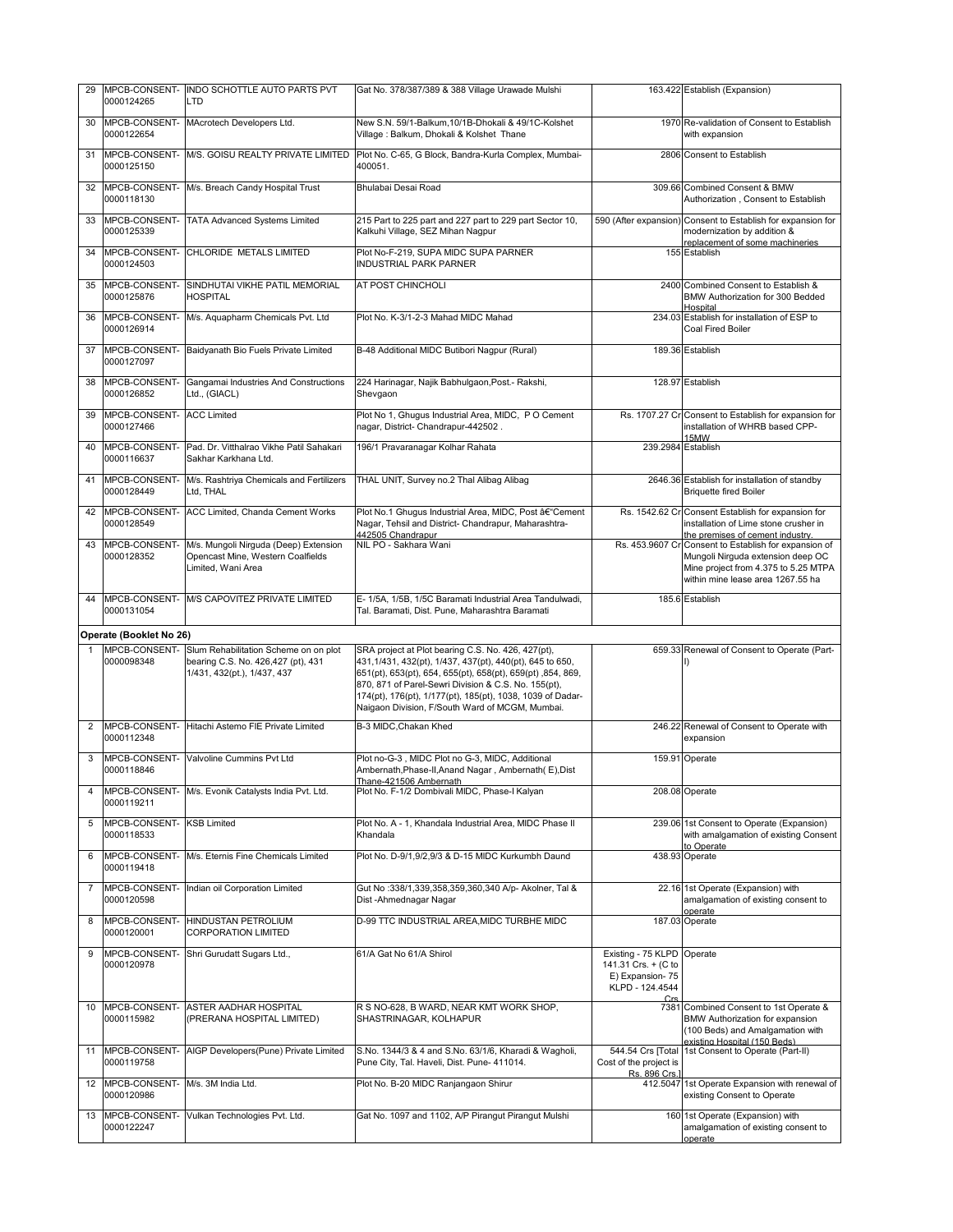| 29 | MPCB-CONSENT-<br>0000124265 | INDO SCHOTTLE AUTO PARTS PVT<br>LTD                                                                        | Gat No. 378/387/389 & 388 Village Urawade Mulshi                                                                                                                                                                                                                                                                                                       |                                                                                        | 163.422 Establish (Expansion)                                                                                                                                           |
|----|-----------------------------|------------------------------------------------------------------------------------------------------------|--------------------------------------------------------------------------------------------------------------------------------------------------------------------------------------------------------------------------------------------------------------------------------------------------------------------------------------------------------|----------------------------------------------------------------------------------------|-------------------------------------------------------------------------------------------------------------------------------------------------------------------------|
| 30 | MPCB-CONSENT-<br>0000122654 | MAcrotech Developers Ltd.                                                                                  | New S.N. 59/1-Balkum, 10/1B-Dhokali & 49/1C-Kolshet<br>Village: Balkum, Dhokali & Kolshet Thane                                                                                                                                                                                                                                                        |                                                                                        | 1970 Re-validation of Consent to Establish<br>with expansion                                                                                                            |
| 31 | MPCB-CONSENT-<br>0000125150 | M/S. GOISU REALTY PRIVATE LIMITED                                                                          | Plot No. C-65, G Block, Bandra-Kurla Complex, Mumbai-<br>400051.                                                                                                                                                                                                                                                                                       |                                                                                        | 2806 Consent to Establish                                                                                                                                               |
| 32 | MPCB-CONSENT-<br>0000118130 | M/s. Breach Candy Hospital Trust                                                                           | Bhulabai Desai Road                                                                                                                                                                                                                                                                                                                                    |                                                                                        | 309.66 Combined Consent & BMW<br>Authorization, Consent to Establish                                                                                                    |
| 33 | MPCB-CONSENT-<br>0000125339 | <b>TATA Advanced Systems Limited</b>                                                                       | 215 Part to 225 part and 227 part to 229 part Sector 10,<br>Kalkuhi Village, SEZ Mihan Nagpur                                                                                                                                                                                                                                                          |                                                                                        | 590 (After expansion) Consent to Establish for expansion for<br>modernization by addition &<br>replacement of some machineries                                          |
| 34 | MPCB-CONSENT-<br>0000124503 | CHLORIDE METALS LIMITED                                                                                    | Plot No-F-219, SUPA MIDC SUPA PARNER<br><b>INDUSTRIAL PARK PARNER</b>                                                                                                                                                                                                                                                                                  |                                                                                        | 155 Establish                                                                                                                                                           |
| 35 | MPCB-CONSENT-<br>0000125876 | SINDHUTAI VIKHE PATIL MEMORIAL<br><b>HOSPITAL</b>                                                          | AT POST CHINCHOLI                                                                                                                                                                                                                                                                                                                                      |                                                                                        | 2400 Combined Consent to Establish &<br>BMW Authorization for 300 Bedded<br>Hospital                                                                                    |
| 36 | MPCB-CONSENT-<br>0000126914 | M/s. Aquapharm Chemicals Pvt. Ltd                                                                          | Plot No. K-3/1-2-3 Mahad MIDC Mahad                                                                                                                                                                                                                                                                                                                    |                                                                                        | 234.03 Establish for installation of ESP to<br>Coal Fired Boiler                                                                                                        |
| 37 | MPCB-CONSENT-<br>0000127097 | Baidyanath Bio Fuels Private Limited                                                                       | B-48 Additional MIDC Butibori Nagpur (Rural)                                                                                                                                                                                                                                                                                                           |                                                                                        | 189.36 Establish                                                                                                                                                        |
| 38 | MPCB-CONSENT-<br>0000126852 | Gangamai Industries And Constructions<br>Ltd., (GIACL)                                                     | 224 Harinagar, Najik Babhulgaon, Post.- Rakshi,<br>Shevgaon                                                                                                                                                                                                                                                                                            |                                                                                        | 128.97 Establish                                                                                                                                                        |
| 39 | MPCB-CONSENT-<br>0000127466 | <b>ACC Limited</b>                                                                                         | Plot No 1, Ghugus Industrial Area, MIDC, PO Cement<br>nagar, District- Chandrapur-442502.                                                                                                                                                                                                                                                              |                                                                                        | Rs. 1707.27 Cr Consent to Establish for expansion for<br>installation of WHRB based CPP-<br>15MW                                                                        |
| 40 | MPCB-CONSENT-<br>0000116637 | Pad. Dr. Vitthalrao Vikhe Patil Sahakari<br>Sakhar Karkhana Ltd.                                           | 196/1 Pravaranagar Kolhar Rahata                                                                                                                                                                                                                                                                                                                       |                                                                                        | 239.2984 Establish                                                                                                                                                      |
| 41 | MPCB-CONSENT-<br>0000128449 | M/s. Rashtriya Chemicals and Fertilizers<br>Ltd, THAL                                                      | THAL UNIT, Survey no.2 Thal Alibag Alibag                                                                                                                                                                                                                                                                                                              |                                                                                        | 2646.36 Establish for installation of standby<br><b>Briquette fired Boiler</b>                                                                                          |
| 42 | MPCB-CONSENT-<br>0000128549 | ACC Limited, Chanda Cement Works                                                                           | Plot No.1 Ghugus Industrial Area, MIDC, Post †"Cement<br>Nagar, Tehsil and District- Chandrapur, Maharashtra-<br>442505 Chandrapur                                                                                                                                                                                                                     |                                                                                        | Rs. 1542.62 Cr Consent Establish for expansion for<br>installation of Lime stone crusher in<br>the premises of cement industry.                                         |
| 43 | MPCB-CONSENT-<br>0000128352 | M/s. Mungoli Nirguda (Deep) Extension<br>Opencast Mine, Western Coalfields<br>Limited, Wani Area           | NIL PO - Sakhara Wani                                                                                                                                                                                                                                                                                                                                  |                                                                                        | Rs. 453.9607 Cr Consent to Establish for expansion of<br>Mungoli Nirguda extension deep OC<br>Mine project from 4.375 to 5.25 MTPA<br>within mine lease area 1267.55 ha |
|    | MPCB-CONSENT-               | M/S CAPOVITEZ PRIVATE LIMITED                                                                              | E- 1/5A, 1/5B, 1/5C Baramati Industrial Area Tandulwadi,                                                                                                                                                                                                                                                                                               |                                                                                        | 185.6 Establish                                                                                                                                                         |
| 44 | 0000131054                  |                                                                                                            | Tal. Baramati, Dist. Pune, Maharashtra Baramati                                                                                                                                                                                                                                                                                                        |                                                                                        |                                                                                                                                                                         |
|    | Operate (Booklet No 26)     |                                                                                                            |                                                                                                                                                                                                                                                                                                                                                        |                                                                                        |                                                                                                                                                                         |
|    | MPCB-CONSENT-<br>0000098348 | Slum Rehabilitation Scheme on on plot<br>bearing C.S. No. 426,427 (pt), 431<br>1/431, 432(pt.), 1/437, 437 | SRA project at Plot bearing C.S. No. 426, 427(pt),<br>431,1/431, 432(pt), 1/437, 437(pt), 440(pt), 645 to 650,<br>651(pt), 653(pt), 654, 655(pt), 658(pt), 659(pt), 854, 869,<br>870, 871 of Parel-Sewri Division & C.S. No. 155(pt),<br>174(pt), 176(pt), 1/177(pt), 185(pt), 1038, 1039 of Dadar-<br>Naigaon Division, F/South Ward of MCGM, Mumbai. |                                                                                        | 659.33 Renewal of Consent to Operate (Part-<br>I)                                                                                                                       |
| 2  | MPCB-CONSENT-<br>0000112348 | Hitachi Astemo FIE Private Limited                                                                         | B-3 MIDC, Chakan Khed                                                                                                                                                                                                                                                                                                                                  |                                                                                        | 246.22 Renewal of Consent to Operate with<br>expansion                                                                                                                  |
| 3  | MPCB-CONSENT-<br>0000118846 | Valvoline Cummins Pvt Ltd                                                                                  | Plot no-G-3, MIDC Plot no G-3, MIDC, Additional<br>Ambernath, Phase-II, Anand Nagar, Ambernath (E), Dist<br>Thane-421506 Ambernath                                                                                                                                                                                                                     |                                                                                        | 159.91 Operate                                                                                                                                                          |
| 4  | MPCB-CONSENT-<br>0000119211 | M/s. Evonik Catalysts India Pvt. Ltd.                                                                      | Plot No. F-1/2 Dombivali MIDC, Phase-I Kalyan                                                                                                                                                                                                                                                                                                          |                                                                                        | 208.08 Operate                                                                                                                                                          |
| 5  | MPCB-CONSENT-<br>0000118533 | <b>KSB Limited</b>                                                                                         | Plot No. A - 1, Khandala Industrial Area, MIDC Phase II<br>Khandala                                                                                                                                                                                                                                                                                    |                                                                                        | 239.06 1st Consent to Operate (Expansion)<br>with amalgamation of existing Consent<br>to Operate                                                                        |
| 6  | MPCB-CONSENT-<br>0000119418 | M/s. Eternis Fine Chemicals Limited                                                                        | Plot No. D-9/1,9/2,9/3 & D-15 MIDC Kurkumbh Daund                                                                                                                                                                                                                                                                                                      |                                                                                        | 438.93 Operate                                                                                                                                                          |
| 7  | MPCB-CONSENT-<br>0000120598 | Indian oil Corporation Limited                                                                             | Gut No :338/1,339,358,359,360,340 A/p- Akolner, Tal &<br>Dist-Ahmednagar Nagar                                                                                                                                                                                                                                                                         |                                                                                        | 22.16 1st Operate (Expansion) with<br>amalgamation of existing consent to<br>operate                                                                                    |
| 8  | MPCB-CONSENT-<br>0000120001 | <b>HINDUSTAN PETROLIUM</b><br><b>CORPORATION LIMITED</b>                                                   | D-99 TTC INDUSTRIAL AREA, MIDC TURBHE MIDC                                                                                                                                                                                                                                                                                                             |                                                                                        | 187.03 Operate                                                                                                                                                          |
| 9  | MPCB-CONSENT-<br>0000120978 | Shri Gurudatt Sugars Ltd.,                                                                                 | 61/A Gat No 61/A Shirol                                                                                                                                                                                                                                                                                                                                | Existing - 75 KLPD<br>141.31 Crs. + (C to<br>E) Expansion-75<br>KLPD - 124.4544<br>Crs | Operate                                                                                                                                                                 |
| 10 | MPCB-CONSENT-<br>0000115982 | ASTER AADHAR HOSPITAL<br>(PRERANA HOSPITAL LIMITED)                                                        | R S NO-628, B WARD, NEAR KMT WORK SHOP,<br>SHASTRINAGAR, KOLHAPUR                                                                                                                                                                                                                                                                                      |                                                                                        | 7381 Combined Consent to 1st Operate &<br>BMW Authorization for expansion<br>(100 Beds) and Amalgamation with<br>existing Hospital (150 Beds)                           |
| 11 | MPCB-CONSENT-<br>0000119758 | AIGP Developers(Pune) Private Limited                                                                      | S.No. 1344/3 & 4 and S.No. 63/1/6, Kharadi & Wagholi,<br>Pune City, Tal. Haveli, Dist. Pune- 411014.                                                                                                                                                                                                                                                   | 544.54 Crs [Total<br>Cost of the project is<br>Rs. 896 Crs.1                           | 1st Consent to Operate (Part-II)                                                                                                                                        |
| 12 | MPCB-CONSENT-<br>0000120986 | M/s. 3M India Ltd.                                                                                         | Plot No. B-20 MIDC Ranjangaon Shirur                                                                                                                                                                                                                                                                                                                   | 412.5047                                                                               | 1st Operate Expansion with renewal of<br>existing Consent to Operate<br>160 1st Operate (Expansion) with                                                                |